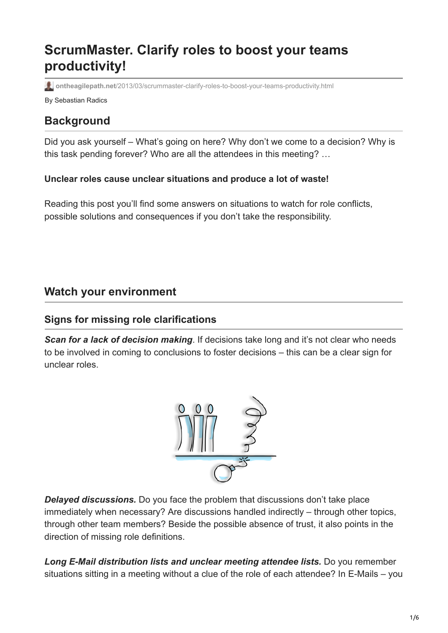# **ScrumMaster. Clarify roles to boost your teams productivity!**

**ontheagilepath.net**[/2013/03/scrummaster-clarify-roles-to-boost-your-teams-productivity.html](https://www.ontheagilepath.net/2013/03/scrummaster-clarify-roles-to-boost-your-teams-productivity.html)

By Sebastian Radics

# **Background**

Did you ask yourself – What's going on here? Why don't we come to a decision? Why is this task pending forever? Who are all the attendees in this meeting? …

#### **Unclear roles cause unclear situations and produce a lot of waste!**

Reading this post you'll find some answers on situations to watch for role conflicts, possible solutions and consequences if you don't take the responsibility.

# **Watch your environment**

## **Signs for missing role clarifications**

**Scan for a lack of decision making**. If decisions take long and it's not clear who needs to be involved in coming to conclusions to foster decisions – this can be a clear sign for unclear roles.



*Delayed discussions.* Do you face the problem that discussions don't take place immediately when necessary? Are discussions handled indirectly – through other topics, through other team members? Beside the possible absence of trust, it also points in the direction of missing role definitions.

*Long E-Mail distribution lists and unclear meeting attendee lists.* Do you remember situations sitting in a meeting without a clue of the role of each attendee? In E-Mails – you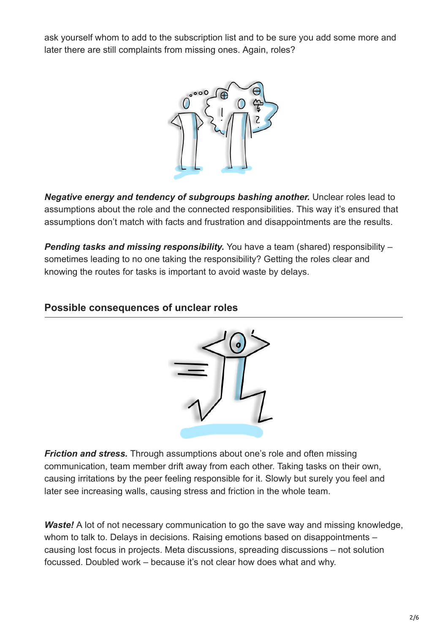ask yourself whom to add to the subscription list and to be sure you add some more and later there are still complaints from missing ones. Again, roles?



*Negative energy and tendency of subgroups bashing another.* Unclear roles lead to assumptions about the role and the connected responsibilities. This way it's ensured that assumptions don't match with facts and frustration and disappointments are the results.

*Pending tasks and missing responsibility.* You have a team (shared) responsibility – sometimes leading to no one taking the responsibility? Getting the roles clear and knowing the routes for tasks is important to avoid waste by delays.

#### **Possible consequences of unclear roles**



*Friction and stress.* Through assumptions about one's role and often missing communication, team member drift away from each other. Taking tasks on their own, causing irritations by the peer feeling responsible for it. Slowly but surely you feel and later see increasing walls, causing stress and friction in the whole team.

*Waste!* A lot of not necessary communication to go the save way and missing knowledge, whom to talk to. Delays in decisions. Raising emotions based on disappointments – causing lost focus in projects. Meta discussions, spreading discussions – not solution focussed. Doubled work – because it's not clear how does what and why.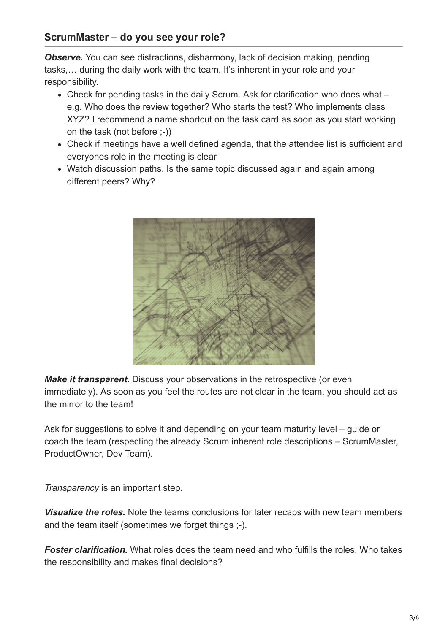## **ScrumMaster – do you see your role?**

*Observe.* You can see distractions, disharmony, lack of decision making, pending tasks,… during the daily work with the team. It's inherent in your role and your responsibility.

- Check for pending tasks in the daily Scrum. Ask for clarification who does what e.g. Who does the review together? Who starts the test? Who implements class XYZ? I recommend a name shortcut on the task card as soon as you start working on the task (not before ;-))
- Check if meetings have a well defined agenda, that the attendee list is sufficient and everyones role in the meeting is clear
- Watch discussion paths. Is the same topic discussed again and again among different peers? Why?



*Make it transparent.* Discuss your observations in the retrospective (or even immediately). As soon as you feel the routes are not clear in the team, you should act as the mirror to the team!

Ask for suggestions to solve it and depending on your team maturity level – guide or coach the team (respecting the already Scrum inherent role descriptions – ScrumMaster, ProductOwner, Dev Team).

*Transparency* is an important step.

*Visualize the roles.* Note the teams conclusions for later recaps with new team members and the team itself (sometimes we forget things ;-).

*Foster clarification.* What roles does the team need and who fulfills the roles. Who takes the responsibility and makes final decisions?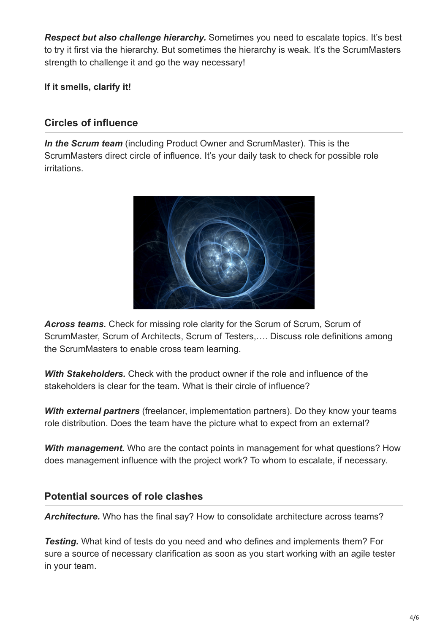*Respect but also challenge hierarchy.* Sometimes you need to escalate topics. It's best to try it first via the hierarchy. But sometimes the hierarchy is weak. It's the ScrumMasters strength to challenge it and go the way necessary!

**If it smells, clarify it!**

## **Circles of influence**

*In the Scrum team* (including Product Owner and ScrumMaster). This is the ScrumMasters direct circle of influence. It's your daily task to check for possible role irritations.



*Across teams.* Check for missing role clarity for the Scrum of Scrum, Scrum of ScrumMaster, Scrum of Architects, Scrum of Testers,…. Discuss role definitions among the ScrumMasters to enable cross team learning.

*With Stakeholders.* Check with the product owner if the role and influence of the stakeholders is clear for the team. What is their circle of influence?

*With external partners* (freelancer, implementation partners). Do they know your teams role distribution. Does the team have the picture what to expect from an external?

**With management.** Who are the contact points in management for what questions? How does management influence with the project work? To whom to escalate, if necessary.

## **Potential sources of role clashes**

Architecture. Who has the final say? How to consolidate architecture across teams?

*Testing.* What kind of tests do you need and who defines and implements them? For sure a source of necessary clarification as soon as you start working with an agile tester in your team.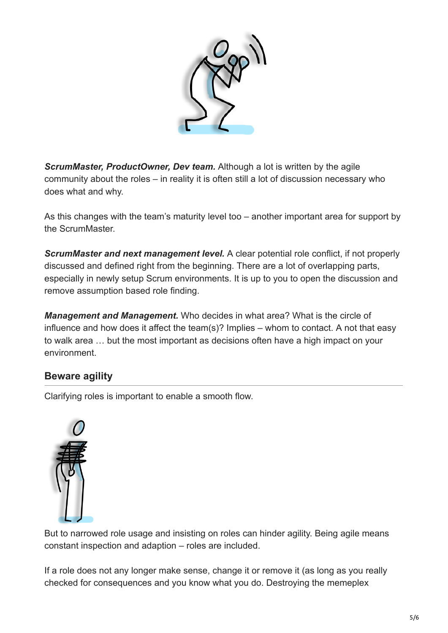

**ScrumMaster, ProductOwner, Dev team.** Although a lot is written by the agile community about the roles – in reality it is often still a lot of discussion necessary who does what and why.

As this changes with the team's maturity level too – another important area for support by the ScrumMaster.

*ScrumMaster and next management level.* A clear potential role conflict, if not properly discussed and defined right from the beginning. There are a lot of overlapping parts, especially in newly setup Scrum environments. It is up to you to open the discussion and remove assumption based role finding.

*Management and Management.* Who decides in what area? What is the circle of influence and how does it affect the team(s)? Implies – whom to contact. A not that easy to walk area … but the most important as decisions often have a high impact on your environment.

## **Beware agility**

Clarifying roles is important to enable a smooth flow.



But to narrowed role usage and insisting on roles can hinder agility. Being agile means constant inspection and adaption – roles are included.

If a role does not any longer make sense, change it or remove it (as long as you really checked for consequences and you know what you do. Destroying the memeplex